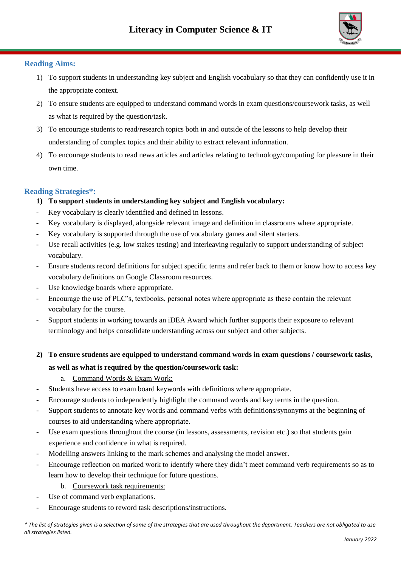

## **Reading Aims:**

- 1) To support students in understanding key subject and English vocabulary so that they can confidently use it in the appropriate context.
- 2) To ensure students are equipped to understand command words in exam questions/coursework tasks, as well as what is required by the question/task.
- 3) To encourage students to read/research topics both in and outside of the lessons to help develop their understanding of complex topics and their ability to extract relevant information.
- 4) To encourage students to read news articles and articles relating to technology/computing for pleasure in their own time.

# **Reading Strategies\*:**

- **1) To support students in understanding key subject and English vocabulary:**
- Key vocabulary is clearly identified and defined in lessons.
- Key vocabulary is displayed, alongside relevant image and definition in classrooms where appropriate.
- Key vocabulary is supported through the use of vocabulary games and silent starters.
- Use recall activities (e.g. low stakes testing) and interleaving regularly to support understanding of subject vocabulary.
- Ensure students record definitions for subject specific terms and refer back to them or know how to access key vocabulary definitions on Google Classroom resources.
- Use knowledge boards where appropriate.
- Encourage the use of PLC's, textbooks, personal notes where appropriate as these contain the relevant vocabulary for the course.
- Support students in working towards an iDEA Award which further supports their exposure to relevant terminology and helps consolidate understanding across our subject and other subjects.
- **2) To ensure students are equipped to understand command words in exam questions / coursework tasks, as well as what is required by the question/coursework task:**
	- a. Command Words & Exam Work:
- Students have access to exam board keywords with definitions where appropriate.
- Encourage students to independently highlight the command words and key terms in the question.
- Support students to annotate key words and command verbs with definitions/synonyms at the beginning of courses to aid understanding where appropriate.
- Use exam questions throughout the course (in lessons, assessments, revision etc.) so that students gain experience and confidence in what is required.
- Modelling answers linking to the mark schemes and analysing the model answer.
- Encourage reflection on marked work to identify where they didn't meet command verb requirements so as to learn how to develop their technique for future questions.
	- b. Coursework task requirements:
- Use of command verb explanations.
- Encourage students to reword task descriptions/instructions.

*\* The list of strategies given is a selection of some of the strategies that are used throughout the department. Teachers are not obligated to use all strategies listed.*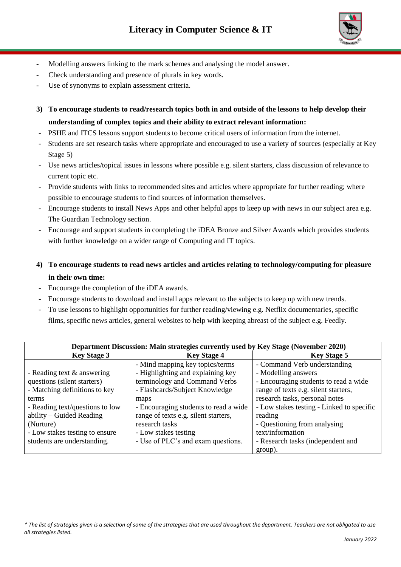

- Modelling answers linking to the mark schemes and analysing the model answer.
- Check understanding and presence of plurals in key words.
- Use of synonyms to explain assessment criteria.
- **3) To encourage students to read/research topics both in and outside of the lessons to help develop their understanding of complex topics and their ability to extract relevant information:**
- PSHE and ITCS lessons support students to become critical users of information from the internet.
- Students are set research tasks where appropriate and encouraged to use a variety of sources (especially at Key Stage 5)
- Use news articles/topical issues in lessons where possible e.g. silent starters, class discussion of relevance to current topic etc.
- Provide students with links to recommended sites and articles where appropriate for further reading; where possible to encourage students to find sources of information themselves.
- Encourage students to install News Apps and other helpful apps to keep up with news in our subject area e.g. The Guardian Technology section.
- Encourage and support students in completing the iDEA Bronze and Silver Awards which provides students with further knowledge on a wider range of Computing and IT topics.
- **4) To encourage students to read news articles and articles relating to technology/computing for pleasure in their own time:**
- Encourage the completion of the iDEA awards.
- Encourage students to download and install apps relevant to the subjects to keep up with new trends.
- To use lessons to highlight opportunities for further reading/viewing e.g. Netflix documentaries, specific films, specific news articles, general websites to help with keeping abreast of the subject e.g. Feedly.

| Department Discussion: Main strategies currently used by Key Stage (November 2020) |                                       |                                           |
|------------------------------------------------------------------------------------|---------------------------------------|-------------------------------------------|
| <b>Key Stage 3</b>                                                                 | <b>Key Stage 4</b>                    | <b>Key Stage 5</b>                        |
|                                                                                    | - Mind mapping key topics/terms       | - Command Verb understanding              |
| - Reading text $\&$ answering                                                      | - Highlighting and explaining key     | - Modelling answers                       |
| questions (silent starters)                                                        | terminology and Command Verbs         | - Encouraging students to read a wide     |
| - Matching definitions to key                                                      | - Flashcards/Subject Knowledge        | range of texts e.g. silent starters,      |
| terms                                                                              | maps                                  | research tasks, personal notes            |
| - Reading text/questions to low                                                    | - Encouraging students to read a wide | - Low stakes testing - Linked to specific |
| ability – Guided Reading                                                           | range of texts e.g. silent starters,  | reading                                   |
| (Nurture)                                                                          | research tasks                        | - Questioning from analysing              |
| - Low stakes testing to ensure                                                     | - Low stakes testing                  | text/information                          |
| students are understanding.                                                        | - Use of PLC's and exam questions.    | - Research tasks (independent and         |
|                                                                                    |                                       | group).                                   |

*\* The list of strategies given is a selection of some of the strategies that are used throughout the department. Teachers are not obligated to use all strategies listed.*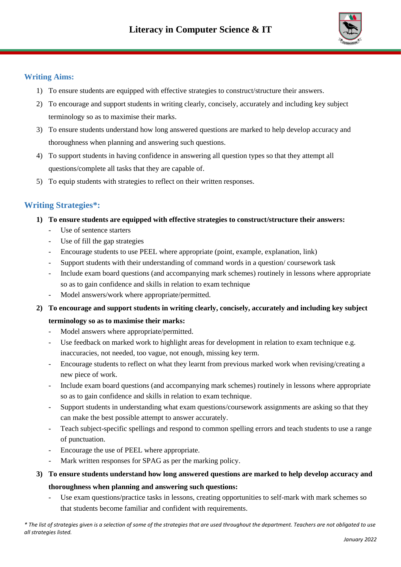

## **Writing Aims:**

- 1) To ensure students are equipped with effective strategies to construct/structure their answers.
- 2) To encourage and support students in writing clearly, concisely, accurately and including key subject terminology so as to maximise their marks.
- 3) To ensure students understand how long answered questions are marked to help develop accuracy and thoroughness when planning and answering such questions.
- 4) To support students in having confidence in answering all question types so that they attempt all questions/complete all tasks that they are capable of.
- 5) To equip students with strategies to reflect on their written responses.

# **Writing Strategies\*:**

- **1) To ensure students are equipped with effective strategies to construct/structure their answers:** 
	- Use of sentence starters
	- Use of fill the gap strategies
	- Encourage students to use PEEL where appropriate (point, example, explanation, link)
	- Support students with their understanding of command words in a question/ coursework task
	- Include exam board questions (and accompanying mark schemes) routinely in lessons where appropriate so as to gain confidence and skills in relation to exam technique
	- Model answers/work where appropriate/permitted.
- **2) To encourage and support students in writing clearly, concisely, accurately and including key subject terminology so as to maximise their marks:**
	- Model answers where appropriate/permitted.
	- Use feedback on marked work to highlight areas for development in relation to exam technique e.g. inaccuracies, not needed, too vague, not enough, missing key term.
	- Encourage students to reflect on what they learnt from previous marked work when revising/creating a new piece of work.
	- Include exam board questions (and accompanying mark schemes) routinely in lessons where appropriate so as to gain confidence and skills in relation to exam technique.
	- Support students in understanding what exam questions/coursework assignments are asking so that they can make the best possible attempt to answer accurately.
	- Teach subject-specific spellings and respond to common spelling errors and teach students to use a range of punctuation.
	- Encourage the use of PEEL where appropriate.
	- Mark written responses for SPAG as per the marking policy.

# **3) To ensure students understand how long answered questions are marked to help develop accuracy and thoroughness when planning and answering such questions:**

- Use exam questions/practice tasks in lessons, creating opportunities to self-mark with mark schemes so that students become familiar and confident with requirements.

*\* The list of strategies given is a selection of some of the strategies that are used throughout the department. Teachers are not obligated to use all strategies listed.*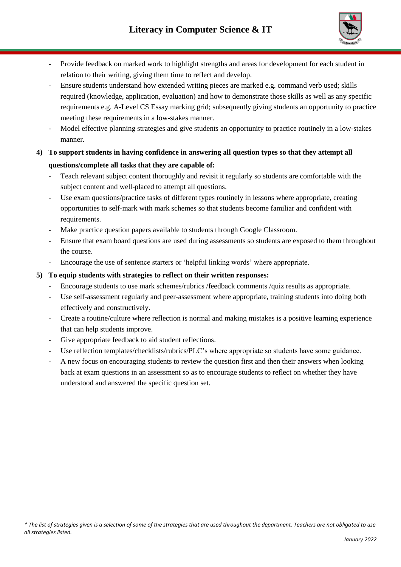

- Provide feedback on marked work to highlight strengths and areas for development for each student in relation to their writing, giving them time to reflect and develop.
- Ensure students understand how extended writing pieces are marked e.g. command verb used; skills required (knowledge, application, evaluation) and how to demonstrate those skills as well as any specific requirements e.g. A-Level CS Essay marking grid; subsequently giving students an opportunity to practice meeting these requirements in a low-stakes manner.
- Model effective planning strategies and give students an opportunity to practice routinely in a low-stakes manner.
- **4) To support students in having confidence in answering all question types so that they attempt all questions/complete all tasks that they are capable of:**
	- Teach relevant subject content thoroughly and revisit it regularly so students are comfortable with the subject content and well-placed to attempt all questions.
	- Use exam questions/practice tasks of different types routinely in lessons where appropriate, creating opportunities to self-mark with mark schemes so that students become familiar and confident with requirements.
	- Make practice question papers available to students through Google Classroom.
	- Ensure that exam board questions are used during assessments so students are exposed to them throughout the course.
	- Encourage the use of sentence starters or 'helpful linking words' where appropriate.

#### **5) To equip students with strategies to reflect on their written responses:**

- Encourage students to use mark schemes/rubrics /feedback comments /quiz results as appropriate.
- Use self-assessment regularly and peer-assessment where appropriate, training students into doing both effectively and constructively.
- Create a routine/culture where reflection is normal and making mistakes is a positive learning experience that can help students improve.
- Give appropriate feedback to aid student reflections.
- Use reflection templates/checklists/rubrics/PLC's where appropriate so students have some guidance.
- A new focus on encouraging students to review the question first and then their answers when looking back at exam questions in an assessment so as to encourage students to reflect on whether they have understood and answered the specific question set.